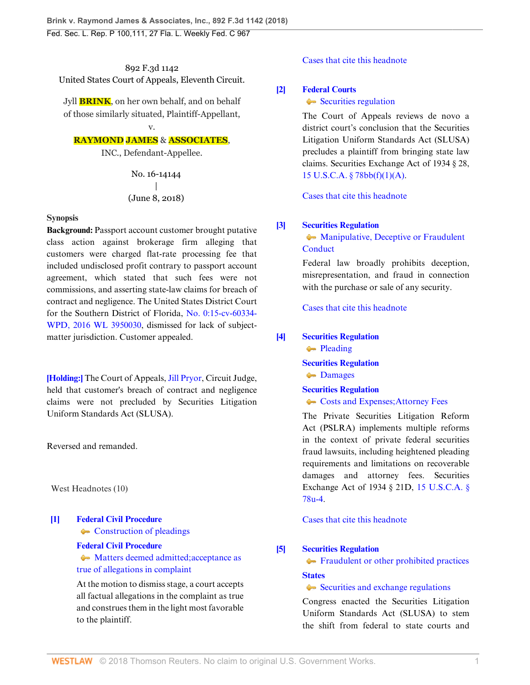892 F.3d 1142 United States Court of Appeals, Eleventh Circuit.

Jyll **BRINK**, on her own behalf, and on behalf of those similarly situated, Plaintiff-Appellant,

# v. **RAYMOND JAMES** & **ASSOCIATES**,

INC., Defendant-Appellee.

No. 16-14144 | (June 8, 2018)

## **Synopsis**

**Background:** Passport account customer brought putative class action against brokerage firm alleging that customers were charged flat-rate processing fee that included undisclosed profit contrary to passport account agreement, which stated that such fees were not commissions, and asserting state-law claims for breach of contract and negligence. The United States District Court for the Southern District of Florida, [No. 0:15-cv-60334-](http://www.westlaw.com/Link/Document/FullText?findType=Y&serNum=2039418463&pubNum=0000999&originatingDoc=Ibb73f2006b6f11e89868e3d0ed3e7ebe&refType=RP&originationContext=document&vr=3.0&rs=cblt1.0&transitionType=DocumentItem&contextData=(sc.Search)) [WPD, 2016 WL 3950030](http://www.westlaw.com/Link/Document/FullText?findType=Y&serNum=2039418463&pubNum=0000999&originatingDoc=Ibb73f2006b6f11e89868e3d0ed3e7ebe&refType=RP&originationContext=document&vr=3.0&rs=cblt1.0&transitionType=DocumentItem&contextData=(sc.Search)), dismissed for lack of subjectmatter jurisdiction. Customer appealed.

**[\[Holding:\]](#page-1-0)** The Court of Appeals, [Jill Pryor](http://www.westlaw.com/Link/Document/FullText?findType=h&pubNum=176284&cite=0486830001&originatingDoc=Ibb73f2006b6f11e89868e3d0ed3e7ebe&refType=RQ&originationContext=document&vr=3.0&rs=cblt1.0&transitionType=DocumentItem&contextData=(sc.Search)), Circuit Judge, held that customer's breach of contract and negligence claims were not precluded by Securities Litigation Uniform Standards Act (SLUSA).

Reversed and remanded.

West Headnotes (10)

<span id="page-0-0"></span>**[\[1\]](#page-2-0) [Federal Civil Procedure](http://www.westlaw.com/Browse/Home/KeyNumber/170A/View.html?docGuid=Ibb73f2006b6f11e89868e3d0ed3e7ebe&originationContext=document&vr=3.0&rs=cblt1.0&transitionType=DocumentItem&contextData=(sc.Search))** • [Construction of pleadings](http://www.westlaw.com/Browse/Home/KeyNumber/170Ak1829/View.html?docGuid=Ibb73f2006b6f11e89868e3d0ed3e7ebe&originationContext=document&vr=3.0&rs=cblt1.0&transitionType=DocumentItem&contextData=(sc.Search)) **[Federal Civil Procedure](http://www.westlaw.com/Browse/Home/KeyNumber/170A/View.html?docGuid=Ibb73f2006b6f11e89868e3d0ed3e7ebe&originationContext=document&vr=3.0&rs=cblt1.0&transitionType=DocumentItem&contextData=(sc.Search))**

> • [Matters deemed admitted; acceptance as](http://www.westlaw.com/Browse/Home/KeyNumber/170Ak1835/View.html?docGuid=Ibb73f2006b6f11e89868e3d0ed3e7ebe&originationContext=document&vr=3.0&rs=cblt1.0&transitionType=DocumentItem&contextData=(sc.Search)) [true of allegations in complaint](http://www.westlaw.com/Browse/Home/KeyNumber/170Ak1835/View.html?docGuid=Ibb73f2006b6f11e89868e3d0ed3e7ebe&originationContext=document&vr=3.0&rs=cblt1.0&transitionType=DocumentItem&contextData=(sc.Search))

At the motion to dismiss stage, a court accepts all factual allegations in the complaint as true and construes them in the light most favorable to the plaintiff.

## [Cases that cite this headnote](http://www.westlaw.com/Link/RelatedInformation/DocHeadnoteLink?docGuid=Ibb73f2006b6f11e89868e3d0ed3e7ebe&headnoteId=204470563300120180829061203&originationContext=document&vr=3.0&rs=cblt1.0&transitionType=CitingReferences&contextData=(sc.Search))

## <span id="page-0-1"></span>**[\[2\]](#page-3-0) [Federal Courts](http://www.westlaw.com/Browse/Home/KeyNumber/170B/View.html?docGuid=Ibb73f2006b6f11e89868e3d0ed3e7ebe&originationContext=document&vr=3.0&rs=cblt1.0&transitionType=DocumentItem&contextData=(sc.Search))**

## [Securities regulation](http://www.westlaw.com/Browse/Home/KeyNumber/170Bk3634(6)/View.html?docGuid=Ibb73f2006b6f11e89868e3d0ed3e7ebe&originationContext=document&vr=3.0&rs=cblt1.0&transitionType=DocumentItem&contextData=(sc.Search))

The Court of Appeals reviews de novo a district court's conclusion that the Securities Litigation Uniform Standards Act (SLUSA) precludes a plaintiff from bringing state law claims. Securities Exchange Act of 1934 § 28, [15 U.S.C.A. § 78bb\(f\)\(1\)\(A\)](http://www.westlaw.com/Link/Document/FullText?findType=L&pubNum=1000546&cite=15USCAS78BB&originatingDoc=Ibb73f2006b6f11e89868e3d0ed3e7ebe&refType=SP&originationContext=document&vr=3.0&rs=cblt1.0&transitionType=DocumentItem&contextData=(sc.Search)#co_pp_85d10000e5e07).

[Cases that cite this headnote](http://www.westlaw.com/Link/RelatedInformation/DocHeadnoteLink?docGuid=Ibb73f2006b6f11e89868e3d0ed3e7ebe&headnoteId=204470563300220180829061203&originationContext=document&vr=3.0&rs=cblt1.0&transitionType=CitingReferences&contextData=(sc.Search))

# <span id="page-0-2"></span>**[\[3\]](#page-3-1) [Securities Regulation](http://www.westlaw.com/Browse/Home/KeyNumber/349B/View.html?docGuid=Ibb73f2006b6f11e89868e3d0ed3e7ebe&originationContext=document&vr=3.0&rs=cblt1.0&transitionType=DocumentItem&contextData=(sc.Search))**

**[Manipulative, Deceptive or Fraudulent](http://www.westlaw.com/Browse/Home/KeyNumber/349Bk60.17/View.html?docGuid=Ibb73f2006b6f11e89868e3d0ed3e7ebe&originationContext=document&vr=3.0&rs=cblt1.0&transitionType=DocumentItem&contextData=(sc.Search))** [Conduct](http://www.westlaw.com/Browse/Home/KeyNumber/349Bk60.17/View.html?docGuid=Ibb73f2006b6f11e89868e3d0ed3e7ebe&originationContext=document&vr=3.0&rs=cblt1.0&transitionType=DocumentItem&contextData=(sc.Search))

Federal law broadly prohibits deception, misrepresentation, and fraud in connection with the purchase or sale of any security.

[Cases that cite this headnote](http://www.westlaw.com/Link/RelatedInformation/DocHeadnoteLink?docGuid=Ibb73f2006b6f11e89868e3d0ed3e7ebe&headnoteId=204470563300320180829061203&originationContext=document&vr=3.0&rs=cblt1.0&transitionType=CitingReferences&contextData=(sc.Search))

# <span id="page-0-3"></span>**[\[4\]](#page-3-2) [Securities Regulation](http://www.westlaw.com/Browse/Home/KeyNumber/349B/View.html?docGuid=Ibb73f2006b6f11e89868e3d0ed3e7ebe&originationContext=document&vr=3.0&rs=cblt1.0&transitionType=DocumentItem&contextData=(sc.Search))**

[Pleading](http://www.westlaw.com/Browse/Home/KeyNumber/349Bk60.50/View.html?docGuid=Ibb73f2006b6f11e89868e3d0ed3e7ebe&originationContext=document&vr=3.0&rs=cblt1.0&transitionType=DocumentItem&contextData=(sc.Search))

**[Securities Regulation](http://www.westlaw.com/Browse/Home/KeyNumber/349B/View.html?docGuid=Ibb73f2006b6f11e89868e3d0ed3e7ebe&originationContext=document&vr=3.0&rs=cblt1.0&transitionType=DocumentItem&contextData=(sc.Search)) [Damages](http://www.westlaw.com/Browse/Home/KeyNumber/349Bk154/View.html?docGuid=Ibb73f2006b6f11e89868e3d0ed3e7ebe&originationContext=document&vr=3.0&rs=cblt1.0&transitionType=DocumentItem&contextData=(sc.Search))** 

**[Securities Regulation](http://www.westlaw.com/Browse/Home/KeyNumber/349B/View.html?docGuid=Ibb73f2006b6f11e89868e3d0ed3e7ebe&originationContext=document&vr=3.0&rs=cblt1.0&transitionType=DocumentItem&contextData=(sc.Search))**

[Costs and Expenses; Attorney Fees](http://www.westlaw.com/Browse/Home/KeyNumber/349Bk157/View.html?docGuid=Ibb73f2006b6f11e89868e3d0ed3e7ebe&originationContext=document&vr=3.0&rs=cblt1.0&transitionType=DocumentItem&contextData=(sc.Search))

The Private Securities Litigation Reform Act (PSLRA) implements multiple reforms in the context of private federal securities fraud lawsuits, including heightened pleading requirements and limitations on recoverable damages and attorney fees. Securities Exchange Act of 1934 § 21D, [15 U.S.C.A. §](http://www.westlaw.com/Link/Document/FullText?findType=L&pubNum=1000546&cite=15USCAS78U-4&originatingDoc=Ibb73f2006b6f11e89868e3d0ed3e7ebe&refType=LQ&originationContext=document&vr=3.0&rs=cblt1.0&transitionType=DocumentItem&contextData=(sc.Search)) [78u-4](http://www.westlaw.com/Link/Document/FullText?findType=L&pubNum=1000546&cite=15USCAS78U-4&originatingDoc=Ibb73f2006b6f11e89868e3d0ed3e7ebe&refType=LQ&originationContext=document&vr=3.0&rs=cblt1.0&transitionType=DocumentItem&contextData=(sc.Search)).

[Cases that cite this headnote](http://www.westlaw.com/Link/RelatedInformation/DocHeadnoteLink?docGuid=Ibb73f2006b6f11e89868e3d0ed3e7ebe&headnoteId=204470563300420180829061203&originationContext=document&vr=3.0&rs=cblt1.0&transitionType=CitingReferences&contextData=(sc.Search))

# <span id="page-0-4"></span>**[\[5\]](#page-3-3) [Securities Regulation](http://www.westlaw.com/Browse/Home/KeyNumber/349B/View.html?docGuid=Ibb73f2006b6f11e89868e3d0ed3e7ebe&originationContext=document&vr=3.0&rs=cblt1.0&transitionType=DocumentItem&contextData=(sc.Search))**

**[Fraudulent or other prohibited practices](http://www.westlaw.com/Browse/Home/KeyNumber/349Bk278/View.html?docGuid=Ibb73f2006b6f11e89868e3d0ed3e7ebe&originationContext=document&vr=3.0&rs=cblt1.0&transitionType=DocumentItem&contextData=(sc.Search)) [States](http://www.westlaw.com/Browse/Home/KeyNumber/360/View.html?docGuid=Ibb73f2006b6f11e89868e3d0ed3e7ebe&originationContext=document&vr=3.0&rs=cblt1.0&transitionType=DocumentItem&contextData=(sc.Search))**

[Securities and exchange regulations](http://www.westlaw.com/Browse/Home/KeyNumber/360k18.77/View.html?docGuid=Ibb73f2006b6f11e89868e3d0ed3e7ebe&originationContext=document&vr=3.0&rs=cblt1.0&transitionType=DocumentItem&contextData=(sc.Search))

Congress enacted the Securities Litigation Uniform Standards Act (SLUSA) to stem the shift from federal to state courts and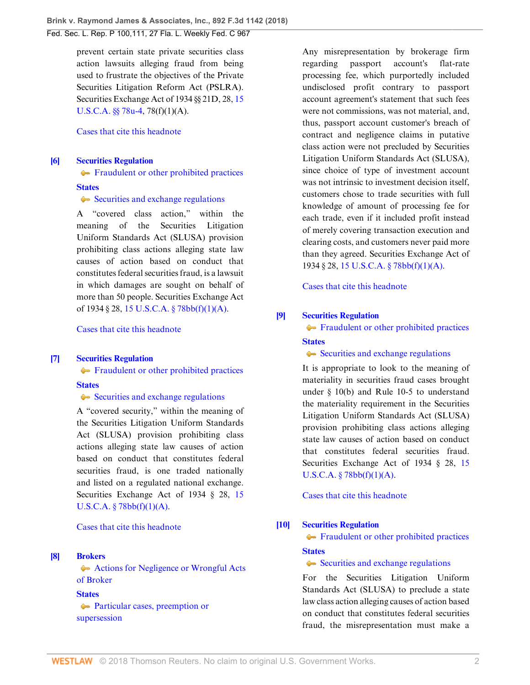Fed. Sec. L. Rep. P 100,111, 27 Fla. L. Weekly Fed. C 967

prevent certain state private securities class action lawsuits alleging fraud from being used to frustrate the objectives of the Private Securities Litigation Reform Act (PSLRA). Securities Exchange Act of 1934 §§ 21D, 28, [15](http://www.westlaw.com/Link/Document/FullText?findType=L&pubNum=1000546&cite=15USCAS78U-4&originatingDoc=Ibb73f2006b6f11e89868e3d0ed3e7ebe&refType=LQ&originationContext=document&vr=3.0&rs=cblt1.0&transitionType=DocumentItem&contextData=(sc.Search)) [U.S.C.A. §§ 78u-4,](http://www.westlaw.com/Link/Document/FullText?findType=L&pubNum=1000546&cite=15USCAS78U-4&originatingDoc=Ibb73f2006b6f11e89868e3d0ed3e7ebe&refType=LQ&originationContext=document&vr=3.0&rs=cblt1.0&transitionType=DocumentItem&contextData=(sc.Search)) 78(f)(1)(A).

## [Cases that cite this headnote](http://www.westlaw.com/Link/RelatedInformation/DocHeadnoteLink?docGuid=Ibb73f2006b6f11e89868e3d0ed3e7ebe&headnoteId=204470563300520180829061203&originationContext=document&vr=3.0&rs=cblt1.0&transitionType=CitingReferences&contextData=(sc.Search))

#### <span id="page-1-1"></span>**[\[6\]](#page-4-0) [Securities Regulation](http://www.westlaw.com/Browse/Home/KeyNumber/349B/View.html?docGuid=Ibb73f2006b6f11e89868e3d0ed3e7ebe&originationContext=document&vr=3.0&rs=cblt1.0&transitionType=DocumentItem&contextData=(sc.Search))**

[Fraudulent or other prohibited practices](http://www.westlaw.com/Browse/Home/KeyNumber/349Bk278/View.html?docGuid=Ibb73f2006b6f11e89868e3d0ed3e7ebe&originationContext=document&vr=3.0&rs=cblt1.0&transitionType=DocumentItem&contextData=(sc.Search))

#### **[States](http://www.westlaw.com/Browse/Home/KeyNumber/360/View.html?docGuid=Ibb73f2006b6f11e89868e3d0ed3e7ebe&originationContext=document&vr=3.0&rs=cblt1.0&transitionType=DocumentItem&contextData=(sc.Search))**

[Securities and exchange regulations](http://www.westlaw.com/Browse/Home/KeyNumber/360k18.77/View.html?docGuid=Ibb73f2006b6f11e89868e3d0ed3e7ebe&originationContext=document&vr=3.0&rs=cblt1.0&transitionType=DocumentItem&contextData=(sc.Search))

A "covered class action," within the meaning of the Securities Litigation Uniform Standards Act (SLUSA) provision prohibiting class actions alleging state law causes of action based on conduct that constitutes federal securities fraud, is a lawsuit in which damages are sought on behalf of more than 50 people. Securities Exchange Act of 1934 § 28, [15 U.S.C.A. § 78bb\(f\)\(1\)\(A\).](http://www.westlaw.com/Link/Document/FullText?findType=L&pubNum=1000546&cite=15USCAS78BB&originatingDoc=Ibb73f2006b6f11e89868e3d0ed3e7ebe&refType=SP&originationContext=document&vr=3.0&rs=cblt1.0&transitionType=DocumentItem&contextData=(sc.Search)#co_pp_85d10000e5e07)

[Cases that cite this headnote](http://www.westlaw.com/Link/RelatedInformation/DocHeadnoteLink?docGuid=Ibb73f2006b6f11e89868e3d0ed3e7ebe&headnoteId=204470563300620180829061203&originationContext=document&vr=3.0&rs=cblt1.0&transitionType=CitingReferences&contextData=(sc.Search))

#### <span id="page-1-2"></span>**[\[7\]](#page-4-1) [Securities Regulation](http://www.westlaw.com/Browse/Home/KeyNumber/349B/View.html?docGuid=Ibb73f2006b6f11e89868e3d0ed3e7ebe&originationContext=document&vr=3.0&rs=cblt1.0&transitionType=DocumentItem&contextData=(sc.Search))**

**[Fraudulent or other prohibited practices](http://www.westlaw.com/Browse/Home/KeyNumber/349Bk278/View.html?docGuid=Ibb73f2006b6f11e89868e3d0ed3e7ebe&originationContext=document&vr=3.0&rs=cblt1.0&transitionType=DocumentItem&contextData=(sc.Search))** 

#### **[States](http://www.westlaw.com/Browse/Home/KeyNumber/360/View.html?docGuid=Ibb73f2006b6f11e89868e3d0ed3e7ebe&originationContext=document&vr=3.0&rs=cblt1.0&transitionType=DocumentItem&contextData=(sc.Search))**

[Securities and exchange regulations](http://www.westlaw.com/Browse/Home/KeyNumber/360k18.77/View.html?docGuid=Ibb73f2006b6f11e89868e3d0ed3e7ebe&originationContext=document&vr=3.0&rs=cblt1.0&transitionType=DocumentItem&contextData=(sc.Search))

A "covered security," within the meaning of the Securities Litigation Uniform Standards Act (SLUSA) provision prohibiting class actions alleging state law causes of action based on conduct that constitutes federal securities fraud, is one traded nationally and listed on a regulated national exchange. Securities Exchange Act of 1934 § 28, [15](http://www.westlaw.com/Link/Document/FullText?findType=L&pubNum=1000546&cite=15USCAS78BB&originatingDoc=Ibb73f2006b6f11e89868e3d0ed3e7ebe&refType=SP&originationContext=document&vr=3.0&rs=cblt1.0&transitionType=DocumentItem&contextData=(sc.Search)#co_pp_85d10000e5e07)  $U.S.C.A. § 78bb(f)(1)(A).$ 

[Cases that cite this headnote](http://www.westlaw.com/Link/RelatedInformation/DocHeadnoteLink?docGuid=Ibb73f2006b6f11e89868e3d0ed3e7ebe&headnoteId=204470563300720180829061203&originationContext=document&vr=3.0&rs=cblt1.0&transitionType=CitingReferences&contextData=(sc.Search))

## <span id="page-1-0"></span>**[\[8\]](#page-4-2) [Brokers](http://www.westlaw.com/Browse/Home/KeyNumber/65/View.html?docGuid=Ibb73f2006b6f11e89868e3d0ed3e7ebe&originationContext=document&vr=3.0&rs=cblt1.0&transitionType=DocumentItem&contextData=(sc.Search))**

[Actions for Negligence or Wrongful Acts](http://www.westlaw.com/Browse/Home/KeyNumber/65k38/View.html?docGuid=Ibb73f2006b6f11e89868e3d0ed3e7ebe&originationContext=document&vr=3.0&rs=cblt1.0&transitionType=DocumentItem&contextData=(sc.Search)) [of Broker](http://www.westlaw.com/Browse/Home/KeyNumber/65k38/View.html?docGuid=Ibb73f2006b6f11e89868e3d0ed3e7ebe&originationContext=document&vr=3.0&rs=cblt1.0&transitionType=DocumentItem&contextData=(sc.Search))

# **[States](http://www.westlaw.com/Browse/Home/KeyNumber/360/View.html?docGuid=Ibb73f2006b6f11e89868e3d0ed3e7ebe&originationContext=document&vr=3.0&rs=cblt1.0&transitionType=DocumentItem&contextData=(sc.Search))**

[Particular cases, preemption or](http://www.westlaw.com/Browse/Home/KeyNumber/360k18.15/View.html?docGuid=Ibb73f2006b6f11e89868e3d0ed3e7ebe&originationContext=document&vr=3.0&rs=cblt1.0&transitionType=DocumentItem&contextData=(sc.Search)) [supersession](http://www.westlaw.com/Browse/Home/KeyNumber/360k18.15/View.html?docGuid=Ibb73f2006b6f11e89868e3d0ed3e7ebe&originationContext=document&vr=3.0&rs=cblt1.0&transitionType=DocumentItem&contextData=(sc.Search))

Any misrepresentation by brokerage firm regarding passport account's flat-rate processing fee, which purportedly included undisclosed profit contrary to passport account agreement's statement that such fees were not commissions, was not material, and, thus, passport account customer's breach of contract and negligence claims in putative class action were not precluded by Securities Litigation Uniform Standards Act (SLUSA), since choice of type of investment account was not intrinsic to investment decision itself, customers chose to trade securities with full knowledge of amount of processing fee for each trade, even if it included profit instead of merely covering transaction execution and clearing costs, and customers never paid more than they agreed. Securities Exchange Act of 1934 § 28, [15 U.S.C.A. § 78bb\(f\)\(1\)\(A\)](http://www.westlaw.com/Link/Document/FullText?findType=L&pubNum=1000546&cite=15USCAS78BB&originatingDoc=Ibb73f2006b6f11e89868e3d0ed3e7ebe&refType=SP&originationContext=document&vr=3.0&rs=cblt1.0&transitionType=DocumentItem&contextData=(sc.Search)#co_pp_85d10000e5e07).

[Cases that cite this headnote](http://www.westlaw.com/Link/RelatedInformation/DocHeadnoteLink?docGuid=Ibb73f2006b6f11e89868e3d0ed3e7ebe&headnoteId=204470563300820180829061203&originationContext=document&vr=3.0&rs=cblt1.0&transitionType=CitingReferences&contextData=(sc.Search))

## <span id="page-1-3"></span>**[\[9\]](#page-4-3) [Securities Regulation](http://www.westlaw.com/Browse/Home/KeyNumber/349B/View.html?docGuid=Ibb73f2006b6f11e89868e3d0ed3e7ebe&originationContext=document&vr=3.0&rs=cblt1.0&transitionType=DocumentItem&contextData=(sc.Search))**

**[Fraudulent or other prohibited practices](http://www.westlaw.com/Browse/Home/KeyNumber/349Bk278/View.html?docGuid=Ibb73f2006b6f11e89868e3d0ed3e7ebe&originationContext=document&vr=3.0&rs=cblt1.0&transitionType=DocumentItem&contextData=(sc.Search))** 

#### **[States](http://www.westlaw.com/Browse/Home/KeyNumber/360/View.html?docGuid=Ibb73f2006b6f11e89868e3d0ed3e7ebe&originationContext=document&vr=3.0&rs=cblt1.0&transitionType=DocumentItem&contextData=(sc.Search))**

[Securities and exchange regulations](http://www.westlaw.com/Browse/Home/KeyNumber/360k18.77/View.html?docGuid=Ibb73f2006b6f11e89868e3d0ed3e7ebe&originationContext=document&vr=3.0&rs=cblt1.0&transitionType=DocumentItem&contextData=(sc.Search))

It is appropriate to look to the meaning of materiality in securities fraud cases brought under § 10(b) and Rule 10-5 to understand the materiality requirement in the Securities Litigation Uniform Standards Act (SLUSA) provision prohibiting class actions alleging state law causes of action based on conduct that constitutes federal securities fraud. Securities Exchange Act of 1934 § 28, [15](http://www.westlaw.com/Link/Document/FullText?findType=L&pubNum=1000546&cite=15USCAS78BB&originatingDoc=Ibb73f2006b6f11e89868e3d0ed3e7ebe&refType=SP&originationContext=document&vr=3.0&rs=cblt1.0&transitionType=DocumentItem&contextData=(sc.Search)#co_pp_85d10000e5e07)  $U.S.C.A. § 78bb(f)(1)(A).$ 

[Cases that cite this headnote](http://www.westlaw.com/Link/RelatedInformation/DocHeadnoteLink?docGuid=Ibb73f2006b6f11e89868e3d0ed3e7ebe&headnoteId=204470563301020180829061203&originationContext=document&vr=3.0&rs=cblt1.0&transitionType=CitingReferences&contextData=(sc.Search))

### <span id="page-1-4"></span>**[\[10\]](#page-4-4) [Securities Regulation](http://www.westlaw.com/Browse/Home/KeyNumber/349B/View.html?docGuid=Ibb73f2006b6f11e89868e3d0ed3e7ebe&originationContext=document&vr=3.0&rs=cblt1.0&transitionType=DocumentItem&contextData=(sc.Search))**

**[Fraudulent or other prohibited practices](http://www.westlaw.com/Browse/Home/KeyNumber/349Bk278/View.html?docGuid=Ibb73f2006b6f11e89868e3d0ed3e7ebe&originationContext=document&vr=3.0&rs=cblt1.0&transitionType=DocumentItem&contextData=(sc.Search)) [States](http://www.westlaw.com/Browse/Home/KeyNumber/360/View.html?docGuid=Ibb73f2006b6f11e89868e3d0ed3e7ebe&originationContext=document&vr=3.0&rs=cblt1.0&transitionType=DocumentItem&contextData=(sc.Search))**

#### [Securities and exchange regulations](http://www.westlaw.com/Browse/Home/KeyNumber/360k18.77/View.html?docGuid=Ibb73f2006b6f11e89868e3d0ed3e7ebe&originationContext=document&vr=3.0&rs=cblt1.0&transitionType=DocumentItem&contextData=(sc.Search))

For the Securities Litigation Uniform Standards Act (SLUSA) to preclude a state law class action alleging causes of action based on conduct that constitutes federal securities fraud, the misrepresentation must make a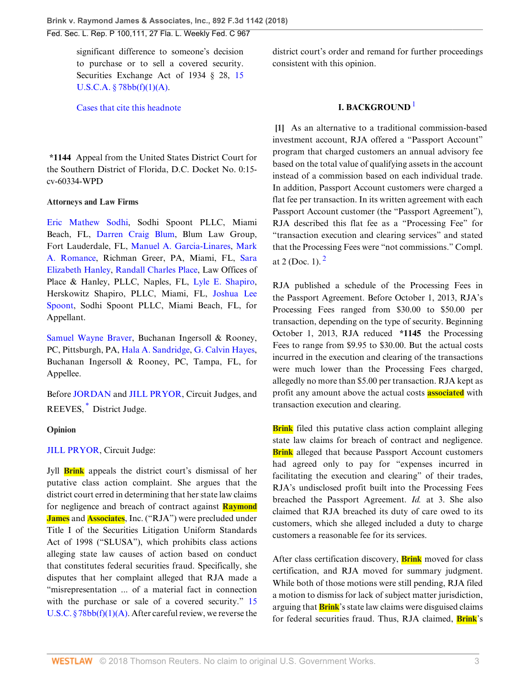Fed. Sec. L. Rep. P 100,111, 27 Fla. L. Weekly Fed. C 967

significant difference to someone's decision to purchase or to sell a covered security. Securities Exchange Act of 1934 § 28, [15](http://www.westlaw.com/Link/Document/FullText?findType=L&pubNum=1000546&cite=15USCAS78BB&originatingDoc=Ibb73f2006b6f11e89868e3d0ed3e7ebe&refType=SP&originationContext=document&vr=3.0&rs=cblt1.0&transitionType=DocumentItem&contextData=(sc.Search)#co_pp_85d10000e5e07)  $U.S.C.A. § 78bb(f)(1)(A).$ 

[Cases that cite this headnote](http://www.westlaw.com/Link/RelatedInformation/DocHeadnoteLink?docGuid=Ibb73f2006b6f11e89868e3d0ed3e7ebe&headnoteId=204470563300920180829061203&originationContext=document&vr=3.0&rs=cblt1.0&transitionType=CitingReferences&contextData=(sc.Search))

**\*1144** Appeal from the United States District Court for the Southern District of Florida, D.C. Docket No. 0:15 cv-60334-WPD

#### **Attorneys and Law Firms**

[Eric Mathew Sodhi](http://www.westlaw.com/Link/Document/FullText?findType=h&pubNum=176284&cite=0343664501&originatingDoc=Ibb73f2006b6f11e89868e3d0ed3e7ebe&refType=RQ&originationContext=document&vr=3.0&rs=cblt1.0&transitionType=DocumentItem&contextData=(sc.Search)), Sodhi Spoont PLLC, Miami Beach, FL, [Darren Craig Blum,](http://www.westlaw.com/Link/Document/FullText?findType=h&pubNum=176284&cite=0326398001&originatingDoc=Ibb73f2006b6f11e89868e3d0ed3e7ebe&refType=RQ&originationContext=document&vr=3.0&rs=cblt1.0&transitionType=DocumentItem&contextData=(sc.Search)) Blum Law Group, Fort Lauderdale, FL, [Manuel A. Garcia-Linares](http://www.westlaw.com/Link/Document/FullText?findType=h&pubNum=176284&cite=0107432301&originatingDoc=Ibb73f2006b6f11e89868e3d0ed3e7ebe&refType=RQ&originationContext=document&vr=3.0&rs=cblt1.0&transitionType=DocumentItem&contextData=(sc.Search)), [Mark](http://www.westlaw.com/Link/Document/FullText?findType=h&pubNum=176284&cite=0156467101&originatingDoc=Ibb73f2006b6f11e89868e3d0ed3e7ebe&refType=RQ&originationContext=document&vr=3.0&rs=cblt1.0&transitionType=DocumentItem&contextData=(sc.Search)) [A. Romance,](http://www.westlaw.com/Link/Document/FullText?findType=h&pubNum=176284&cite=0156467101&originatingDoc=Ibb73f2006b6f11e89868e3d0ed3e7ebe&refType=RQ&originationContext=document&vr=3.0&rs=cblt1.0&transitionType=DocumentItem&contextData=(sc.Search)) Richman Greer, PA, Miami, FL, [Sara](http://www.westlaw.com/Link/Document/FullText?findType=h&pubNum=176284&cite=0418724601&originatingDoc=Ibb73f2006b6f11e89868e3d0ed3e7ebe&refType=RQ&originationContext=document&vr=3.0&rs=cblt1.0&transitionType=DocumentItem&contextData=(sc.Search)) [Elizabeth Hanley,](http://www.westlaw.com/Link/Document/FullText?findType=h&pubNum=176284&cite=0418724601&originatingDoc=Ibb73f2006b6f11e89868e3d0ed3e7ebe&refType=RQ&originationContext=document&vr=3.0&rs=cblt1.0&transitionType=DocumentItem&contextData=(sc.Search)) [Randall Charles Place](http://www.westlaw.com/Link/Document/FullText?findType=h&pubNum=176284&cite=0418724401&originatingDoc=Ibb73f2006b6f11e89868e3d0ed3e7ebe&refType=RQ&originationContext=document&vr=3.0&rs=cblt1.0&transitionType=DocumentItem&contextData=(sc.Search)), Law Offices of Place & Hanley, PLLC, Naples, FL, [Lyle E. Shapiro](http://www.westlaw.com/Link/Document/FullText?findType=h&pubNum=176284&cite=0338220201&originatingDoc=Ibb73f2006b6f11e89868e3d0ed3e7ebe&refType=RQ&originationContext=document&vr=3.0&rs=cblt1.0&transitionType=DocumentItem&contextData=(sc.Search)), Herskowitz Shapiro, PLLC, Miami, FL, [Joshua Lee](http://www.westlaw.com/Link/Document/FullText?findType=h&pubNum=176284&cite=0416064401&originatingDoc=Ibb73f2006b6f11e89868e3d0ed3e7ebe&refType=RQ&originationContext=document&vr=3.0&rs=cblt1.0&transitionType=DocumentItem&contextData=(sc.Search)) [Spoont,](http://www.westlaw.com/Link/Document/FullText?findType=h&pubNum=176284&cite=0416064401&originatingDoc=Ibb73f2006b6f11e89868e3d0ed3e7ebe&refType=RQ&originationContext=document&vr=3.0&rs=cblt1.0&transitionType=DocumentItem&contextData=(sc.Search)) Sodhi Spoont PLLC, Miami Beach, FL, for Appellant.

[Samuel Wayne Braver,](http://www.westlaw.com/Link/Document/FullText?findType=h&pubNum=176284&cite=0167758101&originatingDoc=Ibb73f2006b6f11e89868e3d0ed3e7ebe&refType=RQ&originationContext=document&vr=3.0&rs=cblt1.0&transitionType=DocumentItem&contextData=(sc.Search)) Buchanan Ingersoll & Rooney, PC, Pittsburgh, PA, [Hala A. Sandridge](http://www.westlaw.com/Link/Document/FullText?findType=h&pubNum=176284&cite=0195491301&originatingDoc=Ibb73f2006b6f11e89868e3d0ed3e7ebe&refType=RQ&originationContext=document&vr=3.0&rs=cblt1.0&transitionType=DocumentItem&contextData=(sc.Search)), [G. Calvin Hayes](http://www.westlaw.com/Link/Document/FullText?findType=h&pubNum=176284&cite=0262066701&originatingDoc=Ibb73f2006b6f11e89868e3d0ed3e7ebe&refType=RQ&originationContext=document&vr=3.0&rs=cblt1.0&transitionType=DocumentItem&contextData=(sc.Search)), Buchanan Ingersoll & Rooney, PC, Tampa, FL, for Appellee.

<span id="page-2-1"></span>Before [JORDAN](http://www.westlaw.com/Link/Document/FullText?findType=h&pubNum=176284&cite=0182803801&originatingDoc=Ibb73f2006b6f11e89868e3d0ed3e7ebe&refType=RQ&originationContext=document&vr=3.0&rs=cblt1.0&transitionType=DocumentItem&contextData=(sc.Search)) and [JILL PRYOR](http://www.westlaw.com/Link/Document/FullText?findType=h&pubNum=176284&cite=0486830001&originatingDoc=Ibb73f2006b6f11e89868e3d0ed3e7ebe&refType=RQ&originationContext=document&vr=3.0&rs=cblt1.0&transitionType=DocumentItem&contextData=(sc.Search)), Circuit Judges, and REEVES,<sup>[\\*](#page-6-0)</sup> District Judge.

#### **Opinion**

### [JILL PRYOR,](http://www.westlaw.com/Link/Document/FullText?findType=h&pubNum=176284&cite=0486830001&originatingDoc=Ibb73f2006b6f11e89868e3d0ed3e7ebe&refType=RQ&originationContext=document&vr=3.0&rs=cblt1.0&transitionType=DocumentItem&contextData=(sc.Search)) Circuit Judge:

Jyll **Brink** appeals the district court's dismissal of her putative class action complaint. She argues that the district court erred in determining that her state law claims for negligence and breach of contract against **Raymond James** and **Associates**, Inc. ("RJA") were precluded under Title I of the Securities Litigation Uniform Standards Act of 1998 ("SLUSA"), which prohibits class actions alleging state law causes of action based on conduct that constitutes federal securities fraud. Specifically, she disputes that her complaint alleged that RJA made a "misrepresentation ... of a material fact in connection with the purchase or sale of a covered security." [15](http://www.westlaw.com/Link/Document/FullText?findType=L&pubNum=1000546&cite=15USCAS78BB&originatingDoc=Ibb73f2006b6f11e89868e3d0ed3e7ebe&refType=RB&originationContext=document&vr=3.0&rs=cblt1.0&transitionType=DocumentItem&contextData=(sc.Search)#co_pp_85d10000e5e07) U.S.C.  $\S 78bb(f)(1)(A)$ . After careful review, we reverse the district court's order and remand for further proceedings consistent with this opinion.

# <span id="page-2-2"></span>**I. BACKGROUND** [1](#page-6-1)

<span id="page-2-0"></span>**[\[1](#page-0-0)]** As an alternative to a traditional commission-based investment account, RJA offered a "Passport Account" program that charged customers an annual advisory fee based on the total value of qualifying assets in the account instead of a commission based on each individual trade. In addition, Passport Account customers were charged a flat fee per transaction. In its written agreement with each Passport Account customer (the "Passport Agreement"), RJA described this flat fee as a "Processing Fee" for "transaction execution and clearing services" and stated that the Processing Fees were "not commissions." Compl. at [2](#page-6-2) (Doc. 1).  $^{2}$ 

<span id="page-2-3"></span>RJA published a schedule of the Processing Fees in the Passport Agreement. Before October 1, 2013, RJA's Processing Fees ranged from \$30.00 to \$50.00 per transaction, depending on the type of security. Beginning October 1, 2013, RJA reduced **\*1145** the Processing Fees to range from \$9.95 to \$30.00. But the actual costs incurred in the execution and clearing of the transactions were much lower than the Processing Fees charged, allegedly no more than \$5.00 per transaction. RJA kept as profit any amount above the actual costs **associated** with transaction execution and clearing.

**Brink** filed this putative class action complaint alleging state law claims for breach of contract and negligence. **Brink** alleged that because Passport Account customers had agreed only to pay for "expenses incurred in facilitating the execution and clearing" of their trades, RJA's undisclosed profit built into the Processing Fees breached the Passport Agreement. *Id.* at 3. She also claimed that RJA breached its duty of care owed to its customers, which she alleged included a duty to charge customers a reasonable fee for its services.

After class certification discovery, **Brink** moved for class certification, and RJA moved for summary judgment. While both of those motions were still pending, RJA filed a motion to dismiss for lack of subject matter jurisdiction, arguing that **Brink**'s state law claims were disguised claims for federal securities fraud. Thus, RJA claimed, **Brink**'s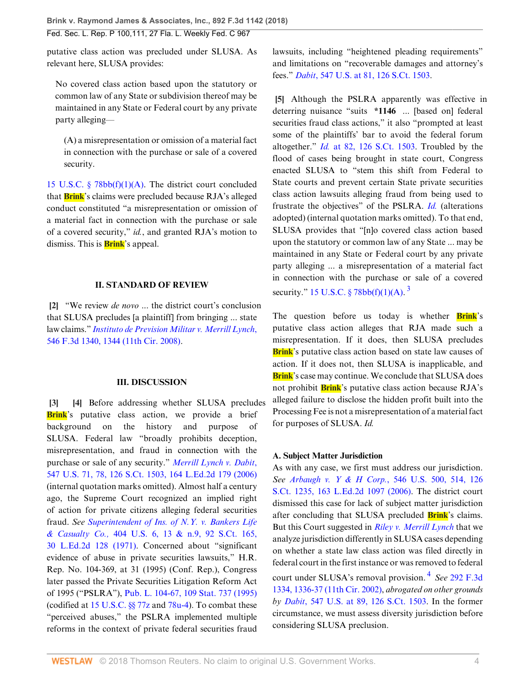putative class action was precluded under SLUSA. As relevant here, SLUSA provides:

No covered class action based upon the statutory or common law of any State or subdivision thereof may be maintained in any State or Federal court by any private party alleging—

(A) a misrepresentation or omission of a material fact in connection with the purchase or sale of a covered security.

[15 U.S.C. § 78bb\(f\)\(1\)\(A\).](http://www.westlaw.com/Link/Document/FullText?findType=L&pubNum=1000546&cite=15USCAS78BB&originatingDoc=Ibb73f2006b6f11e89868e3d0ed3e7ebe&refType=RB&originationContext=document&vr=3.0&rs=cblt1.0&transitionType=DocumentItem&contextData=(sc.Search)#co_pp_85d10000e5e07) The district court concluded that **Brink**'s claims were precluded because RJA's alleged conduct constituted "a misrepresentation or omission of a material fact in connection with the purchase or sale of a covered security," *id.*, and granted RJA's motion to dismiss. This is **Brink**'s appeal.

### **II. STANDARD OF REVIEW**

<span id="page-3-0"></span>**[\[2](#page-0-1)]** "We review *de novo* ... the district court's conclusion that SLUSA precludes [a plaintiff] from bringing ... state law claims." *[Instituto de Prevision Militar v. Merrill Lynch](http://www.westlaw.com/Link/Document/FullText?findType=Y&serNum=2017369772&pubNum=0000506&originatingDoc=Ibb73f2006b6f11e89868e3d0ed3e7ebe&refType=RP&fi=co_pp_sp_506_1344&originationContext=document&vr=3.0&rs=cblt1.0&transitionType=DocumentItem&contextData=(sc.Search)#co_pp_sp_506_1344)*, [546 F.3d 1340, 1344 \(11th Cir. 2008\).](http://www.westlaw.com/Link/Document/FullText?findType=Y&serNum=2017369772&pubNum=0000506&originatingDoc=Ibb73f2006b6f11e89868e3d0ed3e7ebe&refType=RP&fi=co_pp_sp_506_1344&originationContext=document&vr=3.0&rs=cblt1.0&transitionType=DocumentItem&contextData=(sc.Search)#co_pp_sp_506_1344)

# <span id="page-3-2"></span>**III. DISCUSSION**

<span id="page-3-1"></span>**[\[3](#page-0-2)] [\[4\]](#page-0-3)** Before addressing whether SLUSA precludes **Brink**'s putative class action, we provide a brief background on the history and purpose of SLUSA. Federal law "broadly prohibits deception, misrepresentation, and fraud in connection with the purchase or sale of any security." *[Merrill Lynch v. Dabit](http://www.westlaw.com/Link/Document/FullText?findType=Y&serNum=2008725143&pubNum=0000708&originatingDoc=Ibb73f2006b6f11e89868e3d0ed3e7ebe&refType=RP&originationContext=document&vr=3.0&rs=cblt1.0&transitionType=DocumentItem&contextData=(sc.Search))*, [547 U.S. 71, 78, 126 S.Ct. 1503, 164 L.Ed.2d 179 \(2006\)](http://www.westlaw.com/Link/Document/FullText?findType=Y&serNum=2008725143&pubNum=0000708&originatingDoc=Ibb73f2006b6f11e89868e3d0ed3e7ebe&refType=RP&originationContext=document&vr=3.0&rs=cblt1.0&transitionType=DocumentItem&contextData=(sc.Search)) (internal quotation marks omitted). Almost half a century ago, the Supreme Court recognized an implied right of action for private citizens alleging federal securities fraud. *See [Superintendent of Ins. of N.Y. v. Bankers Life](http://www.westlaw.com/Link/Document/FullText?findType=Y&serNum=1971136548&pubNum=0000708&originatingDoc=Ibb73f2006b6f11e89868e3d0ed3e7ebe&refType=RP&originationContext=document&vr=3.0&rs=cblt1.0&transitionType=DocumentItem&contextData=(sc.Search)) & Casualty Co.,* [404 U.S. 6, 13 & n.9, 92 S.Ct. 165,](http://www.westlaw.com/Link/Document/FullText?findType=Y&serNum=1971136548&pubNum=0000708&originatingDoc=Ibb73f2006b6f11e89868e3d0ed3e7ebe&refType=RP&originationContext=document&vr=3.0&rs=cblt1.0&transitionType=DocumentItem&contextData=(sc.Search)) [30 L.Ed.2d 128 \(1971\)](http://www.westlaw.com/Link/Document/FullText?findType=Y&serNum=1971136548&pubNum=0000708&originatingDoc=Ibb73f2006b6f11e89868e3d0ed3e7ebe&refType=RP&originationContext=document&vr=3.0&rs=cblt1.0&transitionType=DocumentItem&contextData=(sc.Search)). Concerned about "significant evidence of abuse in private securities lawsuits," H.R. Rep. No. 104-369, at 31 (1995) (Conf. Rep.), Congress later passed the Private Securities Litigation Reform Act of 1995 ("PSLRA"), [Pub. L. 104-67, 109 Stat. 737 \(1995\)](http://www.westlaw.com/Link/Document/FullText?findType=l&pubNum=1077005&cite=UUID(I9406516992-DE423891BC7-AF68F1ABA4C)&originatingDoc=Ibb73f2006b6f11e89868e3d0ed3e7ebe&refType=SL&originationContext=document&vr=3.0&rs=cblt1.0&transitionType=DocumentItem&contextData=(sc.Search)) (codified at [15 U.S.C. §§ 77z](http://www.westlaw.com/Link/Document/FullText?findType=L&pubNum=1000546&cite=15USCAS77Z&originatingDoc=Ibb73f2006b6f11e89868e3d0ed3e7ebe&refType=LQ&originationContext=document&vr=3.0&rs=cblt1.0&transitionType=DocumentItem&contextData=(sc.Search)) and [78u-4\)](http://www.westlaw.com/Link/Document/FullText?findType=L&pubNum=1000546&cite=15USCAS78U-4&originatingDoc=Ibb73f2006b6f11e89868e3d0ed3e7ebe&refType=LQ&originationContext=document&vr=3.0&rs=cblt1.0&transitionType=DocumentItem&contextData=(sc.Search)). To combat these "perceived abuses," the PSLRA implemented multiple reforms in the context of private federal securities fraud

lawsuits, including "heightened pleading requirements" and limitations on "recoverable damages and attorney's fees." *Dabit*[, 547 U.S. at 81, 126 S.Ct. 1503.](http://www.westlaw.com/Link/Document/FullText?findType=Y&serNum=2008725143&pubNum=0000708&originatingDoc=Ibb73f2006b6f11e89868e3d0ed3e7ebe&refType=RP&originationContext=document&vr=3.0&rs=cblt1.0&transitionType=DocumentItem&contextData=(sc.Search))

<span id="page-3-3"></span>**[\[5](#page-0-4)]** Although the PSLRA apparently was effective in deterring nuisance "suits **\*1146** ... [based on] federal securities fraud class actions," it also "prompted at least some of the plaintiffs' bar to avoid the federal forum altogether." *Id.* [at 82, 126 S.Ct. 1503](http://www.westlaw.com/Link/Document/FullText?findType=Y&serNum=2008725143&pubNum=0000708&originatingDoc=Ibb73f2006b6f11e89868e3d0ed3e7ebe&refType=RP&originationContext=document&vr=3.0&rs=cblt1.0&transitionType=DocumentItem&contextData=(sc.Search)). Troubled by the flood of cases being brought in state court, Congress enacted SLUSA to "stem this shift from Federal to State courts and prevent certain State private securities class action lawsuits alleging fraud from being used to frustrate the objectives" of the PSLRA. *[Id.](http://www.westlaw.com/Link/Document/FullText?findType=Y&serNum=2008725143&pubNum=0000780&originatingDoc=Ibb73f2006b6f11e89868e3d0ed3e7ebe&refType=RP&originationContext=document&vr=3.0&rs=cblt1.0&transitionType=DocumentItem&contextData=(sc.Search))* (alterations adopted) (internal quotation marks omitted). To that end, SLUSA provides that "[n]o covered class action based upon the statutory or common law of any State ... may be maintained in any State or Federal court by any private party alleging ... a misrepresentation of a material fact in connection with the purchase or sale of a covered security." 15 U.S.C.  $\S 78bb(f)(1)(A)$ .<sup>[3](#page-6-3)</sup>

<span id="page-3-4"></span>The question before us today is whether **Brink**'s putative class action alleges that RJA made such a misrepresentation. If it does, then SLUSA precludes **Brink**'s putative class action based on state law causes of action. If it does not, then SLUSA is inapplicable, and **Brink**'s case may continue. We conclude that SLUSA does not prohibit **Brink**'s putative class action because RJA's alleged failure to disclose the hidden profit built into the Processing Fee is not a misrepresentation of a material fact for purposes of SLUSA. *Id.*

# **A. Subject Matter Jurisdiction**

<span id="page-3-5"></span>As with any case, we first must address our jurisdiction. *See [Arbaugh v. Y & H Corp.](http://www.westlaw.com/Link/Document/FullText?findType=Y&serNum=2008499362&pubNum=0000708&originatingDoc=Ibb73f2006b6f11e89868e3d0ed3e7ebe&refType=RP&fi=co_pp_sp_708_514&originationContext=document&vr=3.0&rs=cblt1.0&transitionType=DocumentItem&contextData=(sc.Search)#co_pp_sp_708_514)*, 546 U.S. 500, 514, 126 [S.Ct. 1235, 163 L.Ed.2d 1097 \(2006\).](http://www.westlaw.com/Link/Document/FullText?findType=Y&serNum=2008499362&pubNum=0000708&originatingDoc=Ibb73f2006b6f11e89868e3d0ed3e7ebe&refType=RP&fi=co_pp_sp_708_514&originationContext=document&vr=3.0&rs=cblt1.0&transitionType=DocumentItem&contextData=(sc.Search)#co_pp_sp_708_514) The district court dismissed this case for lack of subject matter jurisdiction after concluding that SLUSA precluded **Brink**'s claims. But this Court suggested in *[Riley v. Merrill Lynch](http://www.westlaw.com/Link/Document/FullText?findType=Y&serNum=2002357601&pubNum=0000506&originatingDoc=Ibb73f2006b6f11e89868e3d0ed3e7ebe&refType=RP&originationContext=document&vr=3.0&rs=cblt1.0&transitionType=DocumentItem&contextData=(sc.Search))* that we analyze jurisdiction differently in SLUSA cases depending on whether a state law class action was filed directly in federal court in the first instance or was removed to federal court under SLUSA's removal provision. [4](#page-6-4) *See* [292 F.3d](http://www.westlaw.com/Link/Document/FullText?findType=Y&serNum=2002357601&pubNum=0000506&originatingDoc=Ibb73f2006b6f11e89868e3d0ed3e7ebe&refType=RP&fi=co_pp_sp_506_1336&originationContext=document&vr=3.0&rs=cblt1.0&transitionType=DocumentItem&contextData=(sc.Search)#co_pp_sp_506_1336) [1334, 1336-37 \(11th Cir. 2002\)](http://www.westlaw.com/Link/Document/FullText?findType=Y&serNum=2002357601&pubNum=0000506&originatingDoc=Ibb73f2006b6f11e89868e3d0ed3e7ebe&refType=RP&fi=co_pp_sp_506_1336&originationContext=document&vr=3.0&rs=cblt1.0&transitionType=DocumentItem&contextData=(sc.Search)#co_pp_sp_506_1336), *abrogated on other grounds by Dabit*[, 547 U.S. at 89, 126 S.Ct. 1503.](http://www.westlaw.com/Link/Document/FullText?findType=Y&serNum=2008725143&pubNum=0000708&originatingDoc=Ibb73f2006b6f11e89868e3d0ed3e7ebe&refType=RP&originationContext=document&vr=3.0&rs=cblt1.0&transitionType=DocumentItem&contextData=(sc.Search)) In the former circumstance, we must assess diversity jurisdiction before considering SLUSA preclusion.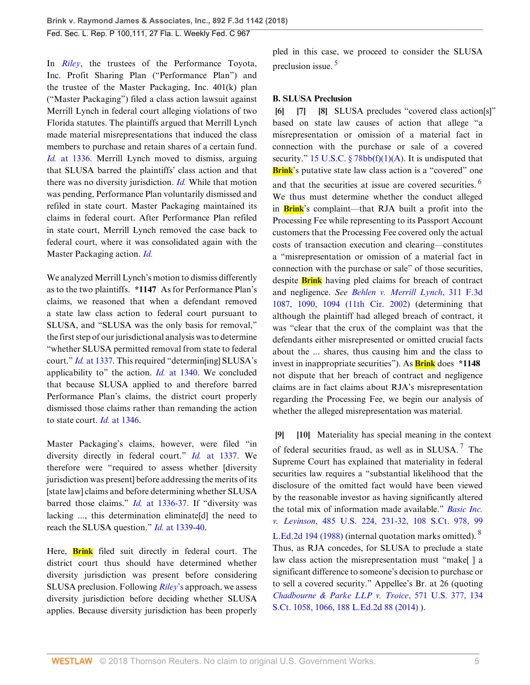In *[Riley](http://www.westlaw.com/Link/Document/FullText?findType=Y&serNum=2002357601&pubNum=0000506&originatingDoc=Ibb73f2006b6f11e89868e3d0ed3e7ebe&refType=RP&originationContext=document&vr=3.0&rs=cblt1.0&transitionType=DocumentItem&contextData=(sc.Search))*, the trustees of the Performance Toyota, Inc. Profit Sharing Plan ("Performance Plan") and the trustee of the Master Packaging, Inc. 401(k) plan ("Master Packaging") filed a class action lawsuit against Merrill Lynch in federal court alleging violations of two Florida statutes. The plaintiffs argued that Merrill Lynch made material misrepresentations that induced the class members to purchase and retain shares of a certain fund. *Id.* [at 1336.](http://www.westlaw.com/Link/Document/FullText?findType=Y&serNum=2002357601&pubNum=0000506&originatingDoc=Ibb73f2006b6f11e89868e3d0ed3e7ebe&refType=RP&fi=co_pp_sp_506_1336&originationContext=document&vr=3.0&rs=cblt1.0&transitionType=DocumentItem&contextData=(sc.Search)#co_pp_sp_506_1336) Merrill Lynch moved to dismiss, arguing that SLUSA barred the plaintiffs' class action and that there was no diversity jurisdiction. *[Id.](http://www.westlaw.com/Link/Document/FullText?findType=Y&serNum=2002357601&pubNum=0000506&originatingDoc=Ibb73f2006b6f11e89868e3d0ed3e7ebe&refType=RP&originationContext=document&vr=3.0&rs=cblt1.0&transitionType=DocumentItem&contextData=(sc.Search))* While that motion was pending, Performance Plan voluntarily dismissed and refiled in state court. Master Packaging maintained its claims in federal court. After Performance Plan refiled in state court, Merrill Lynch removed the case back to federal court, where it was consolidated again with the Master Packaging action. *[Id.](http://www.westlaw.com/Link/Document/FullText?findType=Y&serNum=2002357601&pubNum=0000506&originatingDoc=Ibb73f2006b6f11e89868e3d0ed3e7ebe&refType=RP&originationContext=document&vr=3.0&rs=cblt1.0&transitionType=DocumentItem&contextData=(sc.Search))*

We analyzed Merrill Lynch's motion to dismiss differently as to the two plaintiffs. **\*1147** As for Performance Plan's claims, we reasoned that when a defendant removed a state law class action to federal court pursuant to SLUSA, and "SLUSA was the only basis for removal," the first step of our jurisdictional analysis was to determine "whether SLUSA permitted removal from state to federal court." *Id.* [at 1337](http://www.westlaw.com/Link/Document/FullText?findType=Y&serNum=2002357601&pubNum=0000506&originatingDoc=Ibb73f2006b6f11e89868e3d0ed3e7ebe&refType=RP&fi=co_pp_sp_506_1337&originationContext=document&vr=3.0&rs=cblt1.0&transitionType=DocumentItem&contextData=(sc.Search)#co_pp_sp_506_1337). This required "determin[ing] SLUSA's applicability to" the action. *Id.* [at 1340](http://www.westlaw.com/Link/Document/FullText?findType=Y&serNum=2002357601&pubNum=0000506&originatingDoc=Ibb73f2006b6f11e89868e3d0ed3e7ebe&refType=RP&fi=co_pp_sp_506_1340&originationContext=document&vr=3.0&rs=cblt1.0&transitionType=DocumentItem&contextData=(sc.Search)#co_pp_sp_506_1340). We concluded that because SLUSA applied to and therefore barred Performance Plan's claims, the district court properly dismissed those claims rather than remanding the action to state court. *Id.* [at 1346](http://www.westlaw.com/Link/Document/FullText?findType=Y&serNum=2002357601&pubNum=0000506&originatingDoc=Ibb73f2006b6f11e89868e3d0ed3e7ebe&refType=RP&fi=co_pp_sp_506_1346&originationContext=document&vr=3.0&rs=cblt1.0&transitionType=DocumentItem&contextData=(sc.Search)#co_pp_sp_506_1346).

Master Packaging's claims, however, were filed "in diversity directly in federal court." *Id.* [at 1337.](http://www.westlaw.com/Link/Document/FullText?findType=Y&serNum=2002357601&pubNum=0000506&originatingDoc=Ibb73f2006b6f11e89868e3d0ed3e7ebe&refType=RP&fi=co_pp_sp_506_1337&originationContext=document&vr=3.0&rs=cblt1.0&transitionType=DocumentItem&contextData=(sc.Search)#co_pp_sp_506_1337) We therefore were "required to assess whether [diversity jurisdiction was present] before addressing the merits of its [state law] claims and before determining whether SLUSA barred those claims." *Id.* [at 1336-37.](http://www.westlaw.com/Link/Document/FullText?findType=Y&serNum=2002357601&pubNum=0000506&originatingDoc=Ibb73f2006b6f11e89868e3d0ed3e7ebe&refType=RP&fi=co_pp_sp_506_1336&originationContext=document&vr=3.0&rs=cblt1.0&transitionType=DocumentItem&contextData=(sc.Search)#co_pp_sp_506_1336) If "diversity was lacking ..., this determination eliminate[d] the need to reach the SLUSA question." *Id.* [at 1339-40](http://www.westlaw.com/Link/Document/FullText?findType=Y&serNum=2002357601&pubNum=0000506&originatingDoc=Ibb73f2006b6f11e89868e3d0ed3e7ebe&refType=RP&fi=co_pp_sp_506_1339&originationContext=document&vr=3.0&rs=cblt1.0&transitionType=DocumentItem&contextData=(sc.Search)#co_pp_sp_506_1339).

Here, **Brink** filed suit directly in federal court. The district court thus should have determined whether diversity jurisdiction was present before considering SLUSA preclusion. Following *[Riley](http://www.westlaw.com/Link/Document/FullText?findType=Y&serNum=2002357601&originatingDoc=Ibb73f2006b6f11e89868e3d0ed3e7ebe&refType=RP&originationContext=document&vr=3.0&rs=cblt1.0&transitionType=DocumentItem&contextData=(sc.Search))*'s approach, we assess diversity jurisdiction before deciding whether SLUSA applies. Because diversity jurisdiction has been properly <span id="page-4-5"></span>pled in this case, we proceed to consider the SLUSA preclusion issue. [5](#page-6-5)

## **B. SLUSA Preclusion**

<span id="page-4-6"></span><span id="page-4-2"></span><span id="page-4-1"></span><span id="page-4-0"></span>**[\[6](#page-1-1)] [\[7](#page-1-2)] [\[8](#page-1-0)]** SLUSA precludes "covered class action[s]" based on state law causes of action that allege "a misrepresentation or omission of a material fact in connection with the purchase or sale of a covered security." [15 U.S.C. § 78bb\(f\)\(1\)\(A\)](http://www.westlaw.com/Link/Document/FullText?findType=L&pubNum=1000546&cite=15USCAS78BB&originatingDoc=Ibb73f2006b6f11e89868e3d0ed3e7ebe&refType=RB&originationContext=document&vr=3.0&rs=cblt1.0&transitionType=DocumentItem&contextData=(sc.Search)#co_pp_85d10000e5e07). It is undisputed that **Brink**'s putative state law class action is a "covered" one and that the securities at issue are covered securities.<sup>[6](#page-6-6)</sup> We thus must determine whether the conduct alleged in **Brink**'s complaint—that RJA built a profit into the Processing Fee while representing to its Passport Account customers that the Processing Fee covered only the actual costs of transaction execution and clearing—constitutes a "misrepresentation or omission of a material fact in connection with the purchase or sale" of those securities, despite **Brink** having pled claims for breach of contract and negligence. *See [Behlen v. Merrill Lynch](http://www.westlaw.com/Link/Document/FullText?findType=Y&serNum=2002711877&pubNum=0000506&originatingDoc=Ibb73f2006b6f11e89868e3d0ed3e7ebe&refType=RP&fi=co_pp_sp_506_1090&originationContext=document&vr=3.0&rs=cblt1.0&transitionType=DocumentItem&contextData=(sc.Search)#co_pp_sp_506_1090)*, 311 F.3d [1087, 1090, 1094 \(11th Cir. 2002\)](http://www.westlaw.com/Link/Document/FullText?findType=Y&serNum=2002711877&pubNum=0000506&originatingDoc=Ibb73f2006b6f11e89868e3d0ed3e7ebe&refType=RP&fi=co_pp_sp_506_1090&originationContext=document&vr=3.0&rs=cblt1.0&transitionType=DocumentItem&contextData=(sc.Search)#co_pp_sp_506_1090) (determining that although the plaintiff had alleged breach of contract, it was "clear that the crux of the complaint was that the defendants either misrepresented or omitted crucial facts about the ... shares, thus causing him and the class to invest in inappropriate securities"). As **Brink** does **\*1148** not dispute that her breach of contract and negligence claims are in fact claims about RJA's misrepresentation regarding the Processing Fee, we begin our analysis of whether the alleged misrepresentation was material.

<span id="page-4-8"></span><span id="page-4-7"></span><span id="page-4-4"></span><span id="page-4-3"></span>**[\[9](#page-1-3)] [\[10](#page-1-4)]** Materiality has special meaning in the context of federal securities fraud, as well as in SLUSA.<sup>[7](#page-6-7)</sup> The Supreme Court has explained that materiality in federal securities law requires a "substantial likelihood that the disclosure of the omitted fact would have been viewed by the reasonable investor as having significantly altered the total mix of information made available." *[Basic Inc.](http://www.westlaw.com/Link/Document/FullText?findType=Y&serNum=1988031229&pubNum=0000708&originatingDoc=Ibb73f2006b6f11e89868e3d0ed3e7ebe&refType=RP&originationContext=document&vr=3.0&rs=cblt1.0&transitionType=DocumentItem&contextData=(sc.Search)) v. Levinson*[, 485 U.S. 224, 231-32, 108 S.Ct. 978, 99](http://www.westlaw.com/Link/Document/FullText?findType=Y&serNum=1988031229&pubNum=0000708&originatingDoc=Ibb73f2006b6f11e89868e3d0ed3e7ebe&refType=RP&originationContext=document&vr=3.0&rs=cblt1.0&transitionType=DocumentItem&contextData=(sc.Search)) [L.Ed.2d 194 \(1988\)](http://www.westlaw.com/Link/Document/FullText?findType=Y&serNum=1988031229&pubNum=0000708&originatingDoc=Ibb73f2006b6f11e89868e3d0ed3e7ebe&refType=RP&originationContext=document&vr=3.0&rs=cblt1.0&transitionType=DocumentItem&contextData=(sc.Search)) (internal quotation marks omitted). <sup>[8](#page-6-8)</sup> Thus, as RJA concedes, for SLUSA to preclude a state law class action the misrepresentation must "make[ ] a significant difference to someone's decision to purchase or to sell a covered security." Appellee's Br. at 26 (quoting *[Chadbourne & Parke LLP v. Troice](http://www.westlaw.com/Link/Document/FullText?findType=Y&serNum=2032784627&pubNum=0000708&originatingDoc=Ibb73f2006b6f11e89868e3d0ed3e7ebe&refType=RP&fi=co_pp_sp_708_1066&originationContext=document&vr=3.0&rs=cblt1.0&transitionType=DocumentItem&contextData=(sc.Search)#co_pp_sp_708_1066)*, 571 U.S. 377, 134 [S.Ct. 1058, 1066, 188 L.Ed.2d 88 \(2014\)](http://www.westlaw.com/Link/Document/FullText?findType=Y&serNum=2032784627&pubNum=0000708&originatingDoc=Ibb73f2006b6f11e89868e3d0ed3e7ebe&refType=RP&fi=co_pp_sp_708_1066&originationContext=document&vr=3.0&rs=cblt1.0&transitionType=DocumentItem&contextData=(sc.Search)#co_pp_sp_708_1066) ).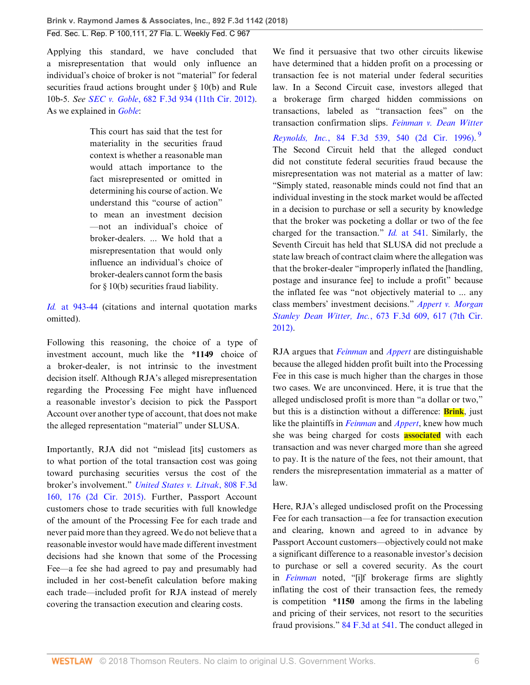Applying this standard, we have concluded that a misrepresentation that would only influence an individual's choice of broker is not "material" for federal securities fraud actions brought under § 10(b) and Rule 10b-5. *See SEC v. Goble*[, 682 F.3d 934 \(11th Cir. 2012\)](http://www.westlaw.com/Link/Document/FullText?findType=Y&serNum=2027785906&pubNum=0000506&originatingDoc=Ibb73f2006b6f11e89868e3d0ed3e7ebe&refType=RP&originationContext=document&vr=3.0&rs=cblt1.0&transitionType=DocumentItem&contextData=(sc.Search)). As we explained in *[Goble](http://www.westlaw.com/Link/Document/FullText?findType=Y&serNum=2027785906&pubNum=0000506&originatingDoc=Ibb73f2006b6f11e89868e3d0ed3e7ebe&refType=RP&originationContext=document&vr=3.0&rs=cblt1.0&transitionType=DocumentItem&contextData=(sc.Search))*:

> This court has said that the test for materiality in the securities fraud context is whether a reasonable man would attach importance to the fact misrepresented or omitted in determining his course of action. We understand this "course of action" to mean an investment decision —not an individual's choice of broker-dealers. ... We hold that a misrepresentation that would only influence an individual's choice of broker-dealers cannot form the basis for  $\S$  10(b) securities fraud liability.

*Id.* [at 943-44](http://www.westlaw.com/Link/Document/FullText?findType=Y&serNum=2027785906&pubNum=0000506&originatingDoc=Ibb73f2006b6f11e89868e3d0ed3e7ebe&refType=RP&fi=co_pp_sp_506_943&originationContext=document&vr=3.0&rs=cblt1.0&transitionType=DocumentItem&contextData=(sc.Search)#co_pp_sp_506_943) (citations and internal quotation marks omitted).

Following this reasoning, the choice of a type of investment account, much like the **\*1149** choice of a broker-dealer, is not intrinsic to the investment decision itself. Although RJA's alleged misrepresentation regarding the Processing Fee might have influenced a reasonable investor's decision to pick the Passport Account over another type of account, that does not make the alleged representation "material" under SLUSA.

Importantly, RJA did not "mislead [its] customers as to what portion of the total transaction cost was going toward purchasing securities versus the cost of the broker's involvement." *[United States v. Litvak](http://www.westlaw.com/Link/Document/FullText?findType=Y&serNum=2037761006&pubNum=0000506&originatingDoc=Ibb73f2006b6f11e89868e3d0ed3e7ebe&refType=RP&fi=co_pp_sp_506_176&originationContext=document&vr=3.0&rs=cblt1.0&transitionType=DocumentItem&contextData=(sc.Search)#co_pp_sp_506_176)*, 808 F.3d [160, 176 \(2d Cir. 2015\).](http://www.westlaw.com/Link/Document/FullText?findType=Y&serNum=2037761006&pubNum=0000506&originatingDoc=Ibb73f2006b6f11e89868e3d0ed3e7ebe&refType=RP&fi=co_pp_sp_506_176&originationContext=document&vr=3.0&rs=cblt1.0&transitionType=DocumentItem&contextData=(sc.Search)#co_pp_sp_506_176) Further, Passport Account customers chose to trade securities with full knowledge of the amount of the Processing Fee for each trade and never paid more than they agreed. We do not believe that a reasonable investor would have made different investment decisions had she known that some of the Processing Fee—a fee she had agreed to pay and presumably had included in her cost-benefit calculation before making each trade—included profit for RJA instead of merely covering the transaction execution and clearing costs.

<span id="page-5-0"></span>We find it persuasive that two other circuits likewise have determined that a hidden profit on a processing or transaction fee is not material under federal securities law. In a Second Circuit case, investors alleged that a brokerage firm charged hidden commissions on transactions, labeled as "transaction fees" on the transaction confirmation slips. *[Feinman v. Dean Witter](http://www.westlaw.com/Link/Document/FullText?findType=Y&serNum=1996123600&pubNum=0000506&originatingDoc=Ibb73f2006b6f11e89868e3d0ed3e7ebe&refType=RP&fi=co_pp_sp_506_540&originationContext=document&vr=3.0&rs=cblt1.0&transitionType=DocumentItem&contextData=(sc.Search)#co_pp_sp_506_540) Reynolds, Inc.*[, 84 F.3d 539, 540 \(2d Cir. 1996\).](http://www.westlaw.com/Link/Document/FullText?findType=Y&serNum=1996123600&pubNum=0000506&originatingDoc=Ibb73f2006b6f11e89868e3d0ed3e7ebe&refType=RP&fi=co_pp_sp_506_540&originationContext=document&vr=3.0&rs=cblt1.0&transitionType=DocumentItem&contextData=(sc.Search)#co_pp_sp_506_540) [9](#page-7-0) The Second Circuit held that the alleged conduct did not constitute federal securities fraud because the misrepresentation was not material as a matter of law: "Simply stated, reasonable minds could not find that an individual investing in the stock market would be affected in a decision to purchase or sell a security by knowledge that the broker was pocketing a dollar or two of the fee charged for the transaction." *Id.* [at 541.](http://www.westlaw.com/Link/Document/FullText?findType=Y&serNum=1996123600&pubNum=0000506&originatingDoc=Ibb73f2006b6f11e89868e3d0ed3e7ebe&refType=RP&fi=co_pp_sp_506_541&originationContext=document&vr=3.0&rs=cblt1.0&transitionType=DocumentItem&contextData=(sc.Search)#co_pp_sp_506_541) Similarly, the Seventh Circuit has held that SLUSA did not preclude a state law breach of contract claim where the allegation was that the broker-dealer "improperly inflated the [handling, postage and insurance fee] to include a profit" because the inflated fee was "not objectively material to ... any class members' investment decisions." *[Appert v. Morgan](http://www.westlaw.com/Link/Document/FullText?findType=Y&serNum=2027274676&pubNum=0000506&originatingDoc=Ibb73f2006b6f11e89868e3d0ed3e7ebe&refType=RP&fi=co_pp_sp_506_617&originationContext=document&vr=3.0&rs=cblt1.0&transitionType=DocumentItem&contextData=(sc.Search)#co_pp_sp_506_617) Stanley Dean Witter, Inc.*[, 673 F.3d 609, 617 \(7th Cir.](http://www.westlaw.com/Link/Document/FullText?findType=Y&serNum=2027274676&pubNum=0000506&originatingDoc=Ibb73f2006b6f11e89868e3d0ed3e7ebe&refType=RP&fi=co_pp_sp_506_617&originationContext=document&vr=3.0&rs=cblt1.0&transitionType=DocumentItem&contextData=(sc.Search)#co_pp_sp_506_617) [2012\)](http://www.westlaw.com/Link/Document/FullText?findType=Y&serNum=2027274676&pubNum=0000506&originatingDoc=Ibb73f2006b6f11e89868e3d0ed3e7ebe&refType=RP&fi=co_pp_sp_506_617&originationContext=document&vr=3.0&rs=cblt1.0&transitionType=DocumentItem&contextData=(sc.Search)#co_pp_sp_506_617).

RJA argues that *[Feinman](http://www.westlaw.com/Link/Document/FullText?findType=Y&serNum=1996123600&pubNum=0000506&originatingDoc=Ibb73f2006b6f11e89868e3d0ed3e7ebe&refType=RP&originationContext=document&vr=3.0&rs=cblt1.0&transitionType=DocumentItem&contextData=(sc.Search))* and *[Appert](http://www.westlaw.com/Link/Document/FullText?findType=Y&serNum=2027274676&pubNum=0000506&originatingDoc=Ibb73f2006b6f11e89868e3d0ed3e7ebe&refType=RP&originationContext=document&vr=3.0&rs=cblt1.0&transitionType=DocumentItem&contextData=(sc.Search))* are distinguishable because the alleged hidden profit built into the Processing Fee in this case is much higher than the charges in those two cases. We are unconvinced. Here, it is true that the alleged undisclosed profit is more than "a dollar or two," but this is a distinction without a difference: **Brink**, just like the plaintiffs in *[Feinman](http://www.westlaw.com/Link/Document/FullText?findType=Y&serNum=1996123600&pubNum=0000506&originatingDoc=Ibb73f2006b6f11e89868e3d0ed3e7ebe&refType=RP&originationContext=document&vr=3.0&rs=cblt1.0&transitionType=DocumentItem&contextData=(sc.Search))* and *[Appert](http://www.westlaw.com/Link/Document/FullText?findType=Y&serNum=2027274676&pubNum=0000506&originatingDoc=Ibb73f2006b6f11e89868e3d0ed3e7ebe&refType=RP&originationContext=document&vr=3.0&rs=cblt1.0&transitionType=DocumentItem&contextData=(sc.Search))*, knew how much she was being charged for costs **associated** with each transaction and was never charged more than she agreed to pay. It is the nature of the fees, not their amount, that renders the misrepresentation immaterial as a matter of law.

Here, RJA's alleged undisclosed profit on the Processing Fee for each transaction—a fee for transaction execution and clearing, known and agreed to in advance by Passport Account customers—objectively could not make a significant difference to a reasonable investor's decision to purchase or sell a covered security. As the court in *[Feinman](http://www.westlaw.com/Link/Document/FullText?findType=Y&serNum=1996123600&pubNum=0000506&originatingDoc=Ibb73f2006b6f11e89868e3d0ed3e7ebe&refType=RP&originationContext=document&vr=3.0&rs=cblt1.0&transitionType=DocumentItem&contextData=(sc.Search))* noted, "[i]f brokerage firms are slightly inflating the cost of their transaction fees, the remedy is competition **\*1150** among the firms in the labeling and pricing of their services, not resort to the securities fraud provisions." [84 F.3d at 541](http://www.westlaw.com/Link/Document/FullText?findType=Y&serNum=1996123600&pubNum=0000506&originatingDoc=Ibb73f2006b6f11e89868e3d0ed3e7ebe&refType=RP&fi=co_pp_sp_506_541&originationContext=document&vr=3.0&rs=cblt1.0&transitionType=DocumentItem&contextData=(sc.Search)#co_pp_sp_506_541). The conduct alleged in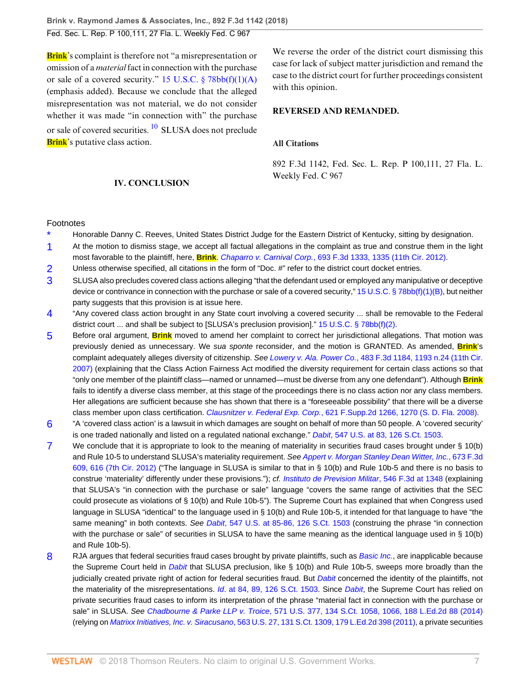**Brink**'s complaint is therefore not "a misrepresentation or omission of a *material* fact in connection with the purchase or sale of a covered security." 15 U.S.C.  $\S$  78bb(f)(1)(A) (emphasis added). Because we conclude that the alleged misrepresentation was not material, we do not consider whether it was made "in connection with" the purchase or sale of covered securities. <sup>[10](#page-7-1)</sup> SLUSA does not preclude **Brink**'s putative class action.

We reverse the order of the district court dismissing this case for lack of subject matter jurisdiction and remand the case to the district court for further proceedings consistent with this opinion.

#### **REVERSED AND REMANDED.**

#### **All Citations**

892 F.3d 1142, Fed. Sec. L. Rep. P 100,111, 27 Fla. L. Weekly Fed. C 967

## <span id="page-6-9"></span>**IV. CONCLUSION**

#### Footnotes

- <span id="page-6-0"></span>Honorable Danny C. Reeves, United States District Judge for the Eastern District of Kentucky, sitting by designation.
- <span id="page-6-1"></span>[1](#page-2-2) At the motion to dismiss stage, we accept all factual allegations in the complaint as true and construe them in the light most favorable to the plaintiff, here, **Brink**. Chaparro v. Carnival Corp.[, 693 F.3d 1333, 1335 \(11th Cir. 2012\)](http://www.westlaw.com/Link/Document/FullText?findType=Y&serNum=2028543719&pubNum=0000506&originatingDoc=Ibb73f2006b6f11e89868e3d0ed3e7ebe&refType=RP&fi=co_pp_sp_506_1335&originationContext=document&vr=3.0&rs=cblt1.0&transitionType=DocumentItem&contextData=(sc.Search)#co_pp_sp_506_1335).
- <span id="page-6-2"></span>[2](#page-2-3) Unless otherwise specified, all citations in the form of "Doc. #" refer to the district court docket entries.
- <span id="page-6-3"></span>[3](#page-3-4) SLUSA also precludes covered class actions alleging "that the defendant used or employed any manipulative or deceptive device or contrivance in connection with the purchase or sale of a covered security," [15 U.S.C. § 78bb\(f\)\(1\)\(B\),](http://www.westlaw.com/Link/Document/FullText?findType=L&pubNum=1000546&cite=15USCAS78BB&originatingDoc=Ibb73f2006b6f11e89868e3d0ed3e7ebe&refType=RB&originationContext=document&vr=3.0&rs=cblt1.0&transitionType=DocumentItem&contextData=(sc.Search)#co_pp_51e6000097e17) but neither party suggests that this provision is at issue here.
- <span id="page-6-4"></span>[4](#page-3-5) "Any covered class action brought in any State court involving a covered security ... shall be removable to the Federal district court ... and shall be subject to [SLUSA's preclusion provision]." [15 U.S.C. § 78bb\(f\)\(2\).](http://www.westlaw.com/Link/Document/FullText?findType=L&pubNum=1000546&cite=15USCAS78BB&originatingDoc=Ibb73f2006b6f11e89868e3d0ed3e7ebe&refType=RB&originationContext=document&vr=3.0&rs=cblt1.0&transitionType=DocumentItem&contextData=(sc.Search)#co_pp_ac4e0000281c0)
- <span id="page-6-5"></span>[5](#page-4-5) Before oral argument, **Brink** moved to amend her complaint to correct her jurisdictional allegations. That motion was previously denied as unnecessary. We sua sponte reconsider, and the motion is GRANTED. As amended, **Brink**'s complaint adequately alleges diversity of citizenship. See Lowery v. Ala. Power Co.[, 483 F.3d 1184, 1193 n.24 \(11th Cir.](http://www.westlaw.com/Link/Document/FullText?findType=Y&serNum=2011912895&pubNum=0000506&originatingDoc=Ibb73f2006b6f11e89868e3d0ed3e7ebe&refType=RP&fi=co_pp_sp_506_1193&originationContext=document&vr=3.0&rs=cblt1.0&transitionType=DocumentItem&contextData=(sc.Search)#co_pp_sp_506_1193) [2007\)](http://www.westlaw.com/Link/Document/FullText?findType=Y&serNum=2011912895&pubNum=0000506&originatingDoc=Ibb73f2006b6f11e89868e3d0ed3e7ebe&refType=RP&fi=co_pp_sp_506_1193&originationContext=document&vr=3.0&rs=cblt1.0&transitionType=DocumentItem&contextData=(sc.Search)#co_pp_sp_506_1193) (explaining that the Class Action Fairness Act modified the diversity requirement for certain class actions so that "only one member of the plaintiff class—named or unnamed—must be diverse from any one defendant"). Although **Brink** fails to identify a diverse class member, at this stage of the proceedings there is no class action nor any class members. Her allegations are sufficient because she has shown that there is a "foreseeable possibility" that there will be a diverse class member upon class certification. Clausnitzer v. Federal Exp. Corp.[, 621 F.Supp.2d 1266, 1270 \(S. D. Fla. 2008\)](http://www.westlaw.com/Link/Document/FullText?findType=Y&serNum=2016974124&pubNum=0004637&originatingDoc=Ibb73f2006b6f11e89868e3d0ed3e7ebe&refType=RP&fi=co_pp_sp_4637_1270&originationContext=document&vr=3.0&rs=cblt1.0&transitionType=DocumentItem&contextData=(sc.Search)#co_pp_sp_4637_1270).
- <span id="page-6-6"></span>[6](#page-4-6) "A 'covered class action' is a lawsuit in which damages are sought on behalf of more than 50 people. A 'covered security' is one traded nationally and listed on a regulated national exchange." Dabit[, 547 U.S. at 83, 126 S.Ct. 1503.](http://www.westlaw.com/Link/Document/FullText?findType=Y&serNum=2008725143&pubNum=0000708&originatingDoc=Ibb73f2006b6f11e89868e3d0ed3e7ebe&refType=RP&originationContext=document&vr=3.0&rs=cblt1.0&transitionType=DocumentItem&contextData=(sc.Search))
- <span id="page-6-7"></span>[7](#page-4-7) We conclude that it is appropriate to look to the meaning of materiality in securities fraud cases brought under § 10(b) and Rule 10-5 to understand SLUSA's materiality requirement. See [Appert v. Morgan Stanley Dean Witter, Inc.](http://www.westlaw.com/Link/Document/FullText?findType=Y&serNum=2027274676&pubNum=0000506&originatingDoc=Ibb73f2006b6f11e89868e3d0ed3e7ebe&refType=RP&fi=co_pp_sp_506_616&originationContext=document&vr=3.0&rs=cblt1.0&transitionType=DocumentItem&contextData=(sc.Search)#co_pp_sp_506_616), 673 F.3d [609, 616 \(7th Cir. 2012\)](http://www.westlaw.com/Link/Document/FullText?findType=Y&serNum=2027274676&pubNum=0000506&originatingDoc=Ibb73f2006b6f11e89868e3d0ed3e7ebe&refType=RP&fi=co_pp_sp_506_616&originationContext=document&vr=3.0&rs=cblt1.0&transitionType=DocumentItem&contextData=(sc.Search)#co_pp_sp_506_616) ("The language in SLUSA is similar to that in § 10(b) and Rule 10b-5 and there is no basis to construe 'materiality' differently under these provisions."); cf. [Instituto de Prevision Militar](http://www.westlaw.com/Link/Document/FullText?findType=Y&serNum=2017369772&pubNum=0000506&originatingDoc=Ibb73f2006b6f11e89868e3d0ed3e7ebe&refType=RP&fi=co_pp_sp_506_1348&originationContext=document&vr=3.0&rs=cblt1.0&transitionType=DocumentItem&contextData=(sc.Search)#co_pp_sp_506_1348), 546 F.3d at 1348 (explaining that SLUSA's "in connection with the purchase or sale" language "covers the same range of activities that the SEC could prosecute as violations of § 10(b) and Rule 10b-5"). The Supreme Court has explained that when Congress used language in SLUSA "identical" to the language used in § 10(b) and Rule 10b-5, it intended for that language to have "the same meaning" in both contexts. See Dabit[, 547 U.S. at 85-86, 126 S.Ct. 1503](http://www.westlaw.com/Link/Document/FullText?findType=Y&serNum=2008725143&pubNum=0000708&originatingDoc=Ibb73f2006b6f11e89868e3d0ed3e7ebe&refType=RP&originationContext=document&vr=3.0&rs=cblt1.0&transitionType=DocumentItem&contextData=(sc.Search)) (construing the phrase "in connection with the purchase or sale" of securities in SLUSA to have the same meaning as the identical language used in § 10(b) and Rule 10b-5).
- <span id="page-6-8"></span>[8](#page-4-8) RJA argues that federal securities fraud cases brought by private plaintiffs, such as [Basic Inc.](http://www.westlaw.com/Link/Document/FullText?findType=Y&serNum=1988031229&pubNum=0000780&originatingDoc=Ibb73f2006b6f11e89868e3d0ed3e7ebe&refType=RP&originationContext=document&vr=3.0&rs=cblt1.0&transitionType=DocumentItem&contextData=(sc.Search)), are inapplicable because the Supreme Court held in [Dabit](http://www.westlaw.com/Link/Document/FullText?findType=Y&serNum=2008725143&pubNum=0000780&originatingDoc=Ibb73f2006b6f11e89868e3d0ed3e7ebe&refType=RP&originationContext=document&vr=3.0&rs=cblt1.0&transitionType=DocumentItem&contextData=(sc.Search)) that SLUSA preclusion, like § 10(b) and Rule 10b-5, sweeps more broadly than the judicially created private right of action for federal securities fraud. But **[Dabit](http://www.westlaw.com/Link/Document/FullText?findType=Y&serNum=2008725143&pubNum=0000780&originatingDoc=Ibb73f2006b6f11e89868e3d0ed3e7ebe&refType=RP&originationContext=document&vr=3.0&rs=cblt1.0&transitionType=DocumentItem&contextData=(sc.Search)) concerned the identity of the plaintiffs**, not the materiality of the misrepresentations. Id[. at 84, 89, 126 S.Ct. 1503](http://www.westlaw.com/Link/Document/FullText?findType=Y&serNum=2008725143&pubNum=0000708&originatingDoc=Ibb73f2006b6f11e89868e3d0ed3e7ebe&refType=RP&fi=co_pp_sp_708_84&originationContext=document&vr=3.0&rs=cblt1.0&transitionType=DocumentItem&contextData=(sc.Search)#co_pp_sp_708_84). Since [Dabit](http://www.westlaw.com/Link/Document/FullText?findType=Y&serNum=2008725143&pubNum=0000780&originatingDoc=Ibb73f2006b6f11e89868e3d0ed3e7ebe&refType=RP&originationContext=document&vr=3.0&rs=cblt1.0&transitionType=DocumentItem&contextData=(sc.Search)), the Supreme Court has relied on private securities fraud cases to inform its interpretation of the phrase "material fact in connection with the purchase or sale" in SLUSA. See Chadbourne & Parke LLP v. Troice[, 571 U.S. 377, 134 S.Ct. 1058, 1066, 188 L.Ed.2d 88 \(2014\)](http://www.westlaw.com/Link/Document/FullText?findType=Y&serNum=2032784627&pubNum=0000708&originatingDoc=Ibb73f2006b6f11e89868e3d0ed3e7ebe&refType=RP&fi=co_pp_sp_708_1066&originationContext=document&vr=3.0&rs=cblt1.0&transitionType=DocumentItem&contextData=(sc.Search)#co_pp_sp_708_1066) (relying on Matrixx Initiatives, Inc. v. Siracusano[, 563 U.S. 27, 131 S.Ct. 1309, 179 L.Ed.2d 398 \(2011\)](http://www.westlaw.com/Link/Document/FullText?findType=Y&serNum=2024826834&pubNum=0000708&originatingDoc=Ibb73f2006b6f11e89868e3d0ed3e7ebe&refType=RP&originationContext=document&vr=3.0&rs=cblt1.0&transitionType=DocumentItem&contextData=(sc.Search)), a private securities